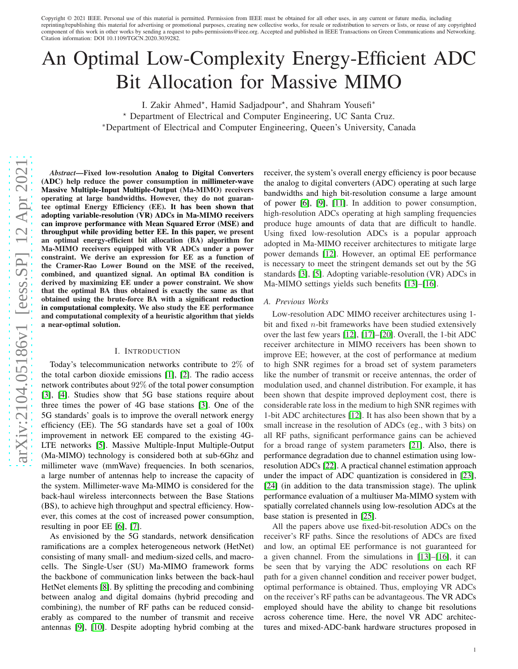Copyright © 2021 IEEE. Personal use of this material is permitted. Permission from IEEE must be obtained for all other uses, in any current or future media, including reprinting/republishing this material for advertising or promotional purposes, creating new collective works, for resale or redistribution to servers or lists, or reuse of any copyrighted component of this work in other works by sending a request to pubs-permissions@ieee.org. Accepted and published in IEEE Transactions on Green Communications and Networking. Citation information: DOI 10.1109/TGCN.2020.3039282.

# An Optimal Low-Complexity Energy-Efficient ADC Bit Allocation for Massive MIMO

I. Zakir Ahmed\*, Hamid Sadjadpour\*, and Shahram Yousefi\* <sup>⋆</sup> Department of Electrical and Computer Engineering, UC Santa Cruz. <sup>∗</sup>Department of Electrical and Computer Engineering, Queen's University, Canada

*Abstract*—Fixed low-resolution Analog to Digital Converters (ADC) help reduce the power consumption in millimeter-wave Massive Multiple-Input Multiple-Output (Ma-MIMO) receivers operating at large bandwidths. However, they do not guarantee optimal Energy Efficiency (EE). It has been shown that adopting variable-resolution (VR) ADCs in Ma-MIMO receivers can improve performance with Mean Squared Error (MSE) and throughput while providing better EE. In this paper, we present an optimal energy-efficient bit allocation (BA) algorithm for Ma-MIMO receivers equipped with VR ADCs under a power constraint. We derive an expression for EE as a function of the Cramer-Rao Lower Bound on the MSE of the received, combined, and quantized signal. An optimal BA condition is derived by maximizing EE under a power constraint. We show that the optimal BA thus obtained is exactly the same as that obtained using the brute-force BA with a significant reduction in computational complexity. We also study the EE performance and computational complexity of a heuristic algorithm that yields a near-optimal solution.

## I. INTRODUCTION

Today's telecommunication networks contribute to 2% of the total carbon dioxide emissions [\[1\]](#page-8-0), [\[2\]](#page-8-1). The radio acces s network contributes about 92% of the total power consumption [\[3\]](#page-8-2), [\[4\]](#page-8-3). Studies show that 5G base stations require about three times the power of 4G base stations [\[3\]](#page-8-2). One of the 5G standards' goals is to improve the overall network energy efficiency (EE). The 5G standards have set a goal of 100x improvement in network EE compared to the existing 4G-LTE networks [\[5\]](#page-8-4). Massive Multiple-Input Multiple-Output (Ma-MIMO) technology is considered both at sub-6Ghz and millimeter wave (mmWave) frequencies. In both scenarios, a large number of antennas help to increase the capacity of the system. Millimeter-wave Ma-MIMO is considered for the back-haul wireless interconnects between the Base Station s (BS), to achieve high throughput and spectral efficiency. However, this comes at the cost of increased power consumption, resulting in poor EE [\[6\]](#page-8-5), [\[7\]](#page-8-6).

As envisioned by the 5G standards, network densification ramifications are a complex heterogeneous network (HetNet) consisting of many small- and medium-sized cells, and macro cells. The Single-User (SU) Ma-MIMO framework forms the backbone of communication links between the back-haul HetNet elements [\[8\]](#page-8-7). By splitting the precoding and combining between analog and digital domains (hybrid precoding and combining), the number of RF paths can be reduced considerably as compared to the number of transmit and receive antennas [\[9\]](#page-8-8), [\[10\]](#page-8-9). Despite adopting hybrid combing at the receiver, the system's overall energy efficiency is poor because the analog to digital converters (ADC) operating at such large bandwidths and high bit-resolution consume a large amount of power [\[6\]](#page-8-5), [\[9\]](#page-8-8), [\[11\]](#page-8-10). In addition to power consumption, high-resolution ADCs operating at high sampling frequencies produce huge amounts of data that are difficult to handle. Using fixed low-resolution ADCs is a popular approach adopted in Ma-MIMO receiver architectures to mitigate larg e power demands [\[12\]](#page-8-11). However, an optimal EE performance is necessary to meet the stringent demands set out by the 5G standards [\[3\]](#page-8-2), [\[5\]](#page-8-4). Adopting variable-resolution (VR) ADCs in Ma-MIMO settings yields such benefits [\[13\]](#page-9-0)–[\[16\]](#page-9-1).

## *A. Previous Works*

Low-resolution ADC MIMO receiver architectures using 1 bit and fixed *n*-bit frameworks have been studied extensively over the last few years [\[12\]](#page-8-11), [\[17\]](#page-9-2)–[\[20\]](#page-9-3). Overall, the 1-bit ADC receiver architecture in MIMO receivers has been shown to improve EE; however, at the cost of performance at medium to high SNR regimes for a broad set of system parameters like the number of transmit or receive antennas, the order of modulation used, and channel distribution. For example, it has been shown that despite improved deployment cost, there is considerable rate loss in the medium to high SNR regimes with 1-bit ADC architectures [\[12\]](#page-8-11). It has also been shown that by a small increase in the resolution of ADCs (eg., with 3 bits) on all RF paths, significant performance gains can be achieved for a broad range of system parameters [\[21\]](#page-9-4). Also, there is performance degradation due to channel estimation using lowresolution ADCs [\[22\]](#page-9-5). A practical channel estimation approach under the impact of ADC quantization is considered in [\[23\]](#page-9-6), [\[24\]](#page-9-7) (in addition to the data transmission stage). The uplink performance evaluation of a multiuser Ma-MIMO system with spatially correlated channels using low-resolution ADCs at the base station is presented in [\[25\]](#page-9-8).

All the papers above use fixed-bit-resolution ADCs on the receiver's RF paths. Since the resolutions of ADCs are fixed and low, an optimal EE performance is not guaranteed for a given channel. From the simulations in [\[13\]](#page-9-0)–[\[16\]](#page-9-1), it can be seen that by varying the ADC resolutions on each RF path for a given channel condition and receiver power budget, optimal performance is obtained. Thus, employing VR ADCs on the receiver's RF paths can be advantageous. The VR ADCs employed should have the ability to change bit resolutions across coherence time. Here, the novel VR ADC architectures and mixed-ADC-bank hardware structures proposed in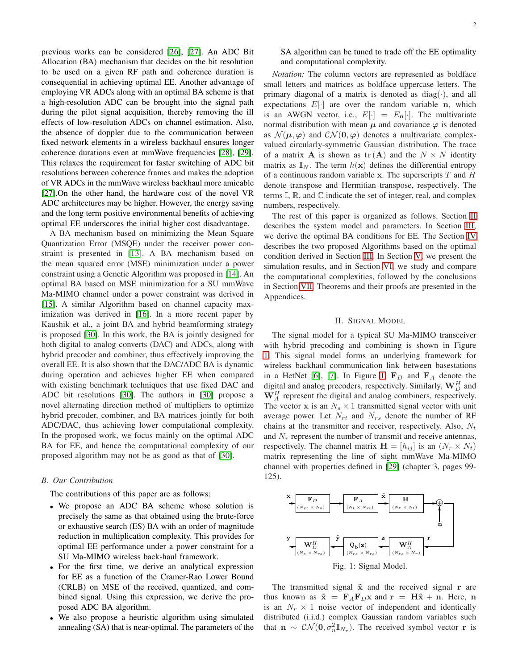previous works can be considered [\[26\]](#page-9-9), [\[27\]](#page-9-10). An ADC Bit Allocation (BA) mechanism that decides on the bit resolution to be used on a given RF path and coherence duration is consequential in achieving optimal EE. Another advantage of employing VR ADCs along with an optimal BA scheme is that a high-resolution ADC can be brought into the signal path during the pilot signal acquisition, thereby removing the ill effects of low-resolution ADCs on channel estimation. Also, the absence of doppler due to the communication between fixed network elements in a wireless backhaul ensures longer coherence durations even at mmWave frequencies [\[28\]](#page-9-11), [\[29\]](#page-9-12). This relaxes the requirement for faster switching of ADC bit resolutions between coherence frames and makes the adoption of VR ADCs in the mmWave wireless backhaul more amicable [\[27\]](#page-9-10).On the other hand, the hardware cost of the novel VR ADC architectures may be higher. However, the energy saving and the long term positive environmental benefits of achieving optimal EE underscores the initial higher cost disadvantage.

A BA mechanism based on minimizing the Mean Square Quantization Error (MSQE) under the receiver power constraint is presented in [\[13\]](#page-9-0). A BA mechanism based on the mean squared error (MSE) minimization under a power constraint using a Genetic Algorithm was proposed in [\[14\]](#page-9-13). An optimal BA based on MSE minimization for a SU mmWave Ma-MIMO channel under a power constraint was derived in [\[15\]](#page-9-14). A similar Algorithm based on channel capacity maximization was derived in [\[16\]](#page-9-1). In a more recent paper by Kaushik et al., a joint BA and hybrid beamforming strategy is proposed [\[30\]](#page-9-15). In this work, the BA is jointly designed for both digital to analog converts (DAC) and ADCs, along with hybrid precoder and combiner, thus effectively improving the overall EE. It is also shown that the DAC/ADC BA is dynamic during operation and achieves higher EE when compared with existing benchmark techniques that use fixed DAC and ADC bit resolutions [\[30\]](#page-9-15). The authors in [\[30\]](#page-9-15) propose a novel alternating direction method of multipliers to optimize hybrid precoder, combiner, and BA matrices jointly for both ADC/DAC, thus achieving lower computational complexity. In the proposed work, we focus mainly on the optimal ADC BA for EE, and hence the computational complexity of our proposed algorithm may not be as good as that of [\[30\]](#page-9-15).

#### *B. Our Contribution*

The contributions of this paper are as follows:

- We propose an ADC BA scheme whose solution is precisely the same as that obtained using the brute-force or exhaustive search (ES) BA with an order of magnitude reduction in multiplication complexity. This provides for optimal EE performance under a power constraint for a SU Ma-MIMO wireless back-haul framework.
- For the first time, we derive an analytical expression for EE as a function of the Cramer-Rao Lower Bound (CRLB) on MSE of the received, quantized, and combined signal. Using this expression, we derive the proposed ADC BA algorithm.
- We also propose a heuristic algorithm using simulated annealing (SA) that is near-optimal. The parameters of the

SA algorithm can be tuned to trade off the EE optimality and computational complexity.

*Notation:* The column vectors are represented as boldface small letters and matrices as boldface uppercase letters. The primary diagonal of a matrix is denoted as  $diag(\cdot)$ , and all expectations  $E[\cdot]$  are over the random variable n, which is an AWGN vector, i.e.,  $E[\cdot] = E_{\mathbf{n}}[\cdot]$ . The multivariate normal distribution with mean  $\mu$  and covariance  $\varphi$  is denoted as  $\mathcal{N}(\mu, \varphi)$  and  $\mathcal{CN}(\mathbf{0}, \varphi)$  denotes a multivariate complexvalued circularly-symmetric Gaussian distribution. The trace of a matrix **A** is shown as  $tr(A)$  and the  $N \times N$  identity matrix as  $I_N$ . The term  $h(x)$  defines the differential entropy of a continuous random variable x. The superscripts  $T$  and  $H$ denote transpose and Hermitian transpose, respectively. The terms  $\mathbb{I}, \mathbb{R}$ , and  $\mathbb{C}$  indicate the set of integer, real, and complex numbers, respectively.

The rest of this paper is organized as follows. Section [II](#page-1-0) describes the system model and parameters. In Section [III,](#page-2-0) we derive the optimal BA conditions for EE. The Section [IV](#page-4-0) describes the two proposed Algorithms based on the optimal condition derived in Section [III.](#page-2-0) In Section [V,](#page-4-1) we present the simulation results, and in Section [VI,](#page-5-0) we study and compare the computational complexities, followed by the conclusions in Section [VII.](#page-7-0) Theorems and their proofs are presented in the Appendices.

## II. SIGNAL MODEL

<span id="page-1-0"></span>The signal model for a typical SU Ma-MIMO transceiver with hybrid precoding and combining is shown in Figure [1.](#page-1-1) This signal model forms an underlying framework for wireless backhaul communication link between basestations in a HetNet [\[6\]](#page-8-5), [\[7\]](#page-8-6). In Figure [1,](#page-1-1)  $F_D$  and  $F_A$  denote the digital and analog precoders, respectively. Similarly,  $\mathbf{W}_{D}^{H}$  and  $W_A^H$  represent the digital and analog combiners, respectively. The vector x is an  $N_s \times 1$  transmitted signal vector with unit average power. Let  $N_{rt}$  and  $N_{rs}$  denote the number of RF chains at the transmitter and receiver, respectively. Also,  $N_t$ and  $N_r$  represent the number of transmit and receive antennas, respectively. The channel matrix  $\mathbf{H} = [h_{ij}]$  is an  $(N_r \times N_t)$ matrix representing the line of sight mmWave Ma-MIMO channel with properties defined in [\[29\]](#page-9-12) (chapter 3, pages 99- 125).

<span id="page-1-1"></span>

The transmitted signal  $\tilde{x}$  and the received signal r are thus known as  $\tilde{\mathbf{x}} = \mathbf{F}_A \mathbf{F}_D \mathbf{x}$  and  $\mathbf{r} = \mathbf{H}\tilde{\mathbf{x}} + \mathbf{n}$ . Here, n is an  $N_r \times 1$  noise vector of independent and identically distributed (i.i.d.) complex Gaussian random variables such that  $\mathbf{n} \sim \mathcal{CN}(\mathbf{0}, \sigma_n^2 \mathbf{I}_{N_r})$ . The received symbol vector r is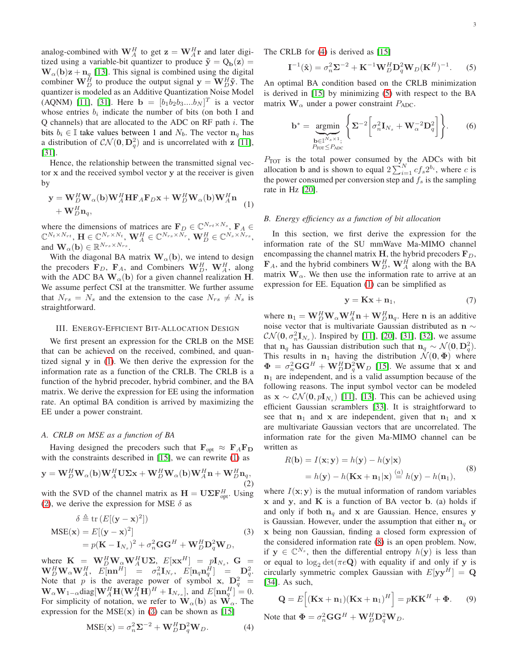analog-combined with  $\mathbf{W}_A^H$  to get  $\mathbf{z} = \mathbf{W}_A^H \mathbf{r}$  and later digitized using a variable-bit quantizer to produce  $\tilde{y} = Q_b(z) =$  $\mathbf{W}_{\alpha}(\mathbf{b})\mathbf{z} + \mathbf{n}_q$  [\[13\]](#page-9-0). This signal is combined using the digital combiner  $\mathbf{W}_{D}^{H}$  to produce the output signal  $\mathbf{y} = \mathbf{W}_{D}^{H} \tilde{\mathbf{y}}$ . The quantizer is modeled as an Additive Quantization Noise Model (AQNM) [\[11\]](#page-8-10), [\[31\]](#page-9-16). Here **b** =  $[b_1b_2b_3....b_N]^T$  is a vector whose entries  $b_i$  indicate the number of bits (on both I and Q channels) that are allocated to the ADC on RF path  $i$ . The bits  $b_i \in \mathbb{I}$  take values between 1 and  $N_b$ . The vector  $n_a$  has a distribution of  $CN(\mathbf{0}, \mathbf{D}_q^2)$  and is uncorrelated with z [\[11\]](#page-8-10), [\[31\]](#page-9-16).

Hence, the relationship between the transmitted signal vector x and the received symbol vector y at the receiver is given by

<span id="page-2-1"></span>
$$
\mathbf{y} = \mathbf{W}_{D}^{H} \mathbf{W}_{\alpha}(\mathbf{b}) \mathbf{W}_{A}^{H} \mathbf{H} \mathbf{F}_{A} \mathbf{F}_{D} \mathbf{x} + \mathbf{W}_{D}^{H} \mathbf{W}_{\alpha}(\mathbf{b}) \mathbf{W}_{A}^{H} \mathbf{n} + \mathbf{W}_{D}^{H} \mathbf{n}_{q},
$$
 (1)

where the dimensions of matrices are  $\mathbf{F}_D \in \mathbb{C}^{N_{rt} \times N_s}$ ,  $\mathbf{F}_A \in$  $\mathbb{C}^{N_t \times N_{rt}}, \mathbf{H} \in \mathbb{C}^{N_r \times N_t}, \mathbf{W}_{A}^{H} \in \mathbb{C}^{N_{rs} \times N_r}, \mathbf{W}_{D}^{H} \in \mathbb{C}^{N_s \times N_{rs}},$ and  $\mathbf{W}_{\alpha}(\mathbf{b}) \in \mathbb{R}^{N_{rs} \times N_{rs}}$ .

With the diagonal BA matrix  $\mathbf{W}_{\alpha}(\mathbf{b})$ , we intend to design the precoders  $\mathbf{F}_D$ ,  $\mathbf{F}_A$ , and Combiners  $\mathbf{W}_D^H$ ,  $\mathbf{W}_A^H$ , along with the ADC BA  $\mathbf{W}_{\alpha}(\mathbf{b})$  for a given channel realization H. We assume perfect CSI at the transmitter. We further assume that  $N_{rs} = N_s$  and the extension to the case  $N_{rs} \neq N_s$  is straightforward.

#### <span id="page-2-0"></span>III. ENERGY-EFFICIENT BIT-ALLOCATION DESIGN

We first present an expression for the CRLB on the MSE that can be achieved on the received, combined, and quantized signal y in [\(1\)](#page-2-1). We then derive the expression for the information rate as a function of the CRLB. The CRLB is a function of the hybrid precoder, hybrid combiner, and the BA matrix. We derive the expression for EE using the information rate. An optimal BA condition is arrived by maximizing the EE under a power constraint.

#### *A. CRLB on MSE as a function of BA*

Having designed the precoders such that  $\mathbf{F}_{opt} \approx \mathbf{F}_A \mathbf{F}_D$ with the constraints described in [\[15\]](#page-9-14), we can rewrite ([1](#page-2-1)) as

<span id="page-2-2"></span>
$$
\mathbf{y} = \mathbf{W}_D^H \mathbf{W}_\alpha(\mathbf{b}) \mathbf{W}_A^H \mathbf{U} \mathbf{\Sigma} \mathbf{x} + \mathbf{W}_D^H \mathbf{W}_\alpha(\mathbf{b}) \mathbf{W}_A^H \mathbf{n} + \mathbf{W}_D^H \mathbf{n}_q, \tag{2}
$$

with the SVD of the channel matrix as  $\mathbf{H} = \mathbf{U} \mathbf{\Sigma} \mathbf{F}_{\text{opt}}^H$ . Using ([2](#page-2-2)), we derive the expression for MSE  $\delta$  as

<span id="page-2-3"></span>
$$
\delta \triangleq \text{tr}\left(E[(\mathbf{y} - \mathbf{x})^2]\right)
$$
  
\n
$$
MSE(\mathbf{x}) = E[(\mathbf{y} - \mathbf{x})^2]
$$
  
\n
$$
= p(\mathbf{K} - \mathbf{I}_{N_s})^2 + \sigma_n^2 \mathbf{G} \mathbf{G}^H + \mathbf{W}_D^H \mathbf{D}_q^2 \mathbf{W}_D,
$$
\n(3)

where  $\mathbf{K} = \mathbf{W}_D^H \mathbf{W}_{\alpha} \mathbf{W}_A^H \mathbf{U} \mathbf{\Sigma}, E[\mathbf{x} \mathbf{x}^H] = p \mathbf{I}_{N_s}, \mathbf{G} =$  $\mathbf{W}_D^H \mathbf{W}_\alpha \mathbf{W}_A^H,~~ \bar{E[}\mathbf{n}\mathbf{n}^H] ~=~ \sigma_n^2 \mathbf{I}_{N_r},~~ E[\mathbf{n}_q \mathbf{n}_q^H] ~=~ \mathbf{D}_q^2.$ Note that p is the average power of symbol x,  $\mathbf{D}_q^2 =$  $\mathbf{W}_{\alpha} \mathbf{W}_{1-\alpha} \text{diag}[\mathbf{W}_{A}^{H} \mathbf{H}(\mathbf{W}_{A}^{H} \mathbf{H})^{H} + \mathbf{I}_{N_{rs}}]$ , and  $E[\mathbf{n} \mathbf{n}_{q}^{H}] = 0$ . For simplicity of notation, we refer to  $\mathbf{W}_{\alpha}(\mathbf{b})$  as  $\mathbf{W}_{\alpha}$ . The expression for the  $MSE(x)$  in ([3](#page-2-3)) can be shown as [\[15\]](#page-9-14)

<span id="page-2-4"></span>
$$
MSE(\mathbf{x}) = \sigma_n^2 \Sigma^{-2} + \mathbf{W}_D^H \mathbf{D}_q^2 \mathbf{W}_D.
$$
 (4)

The CRLB for [\(4\)](#page-2-4) is derived as [\[15\]](#page-9-14)

<span id="page-2-5"></span>
$$
\mathbf{I}^{-1}(\hat{\mathbf{x}}) = \sigma_n^2 \mathbf{\Sigma}^{-2} + \mathbf{K}^{-1} \mathbf{W}_D^H \mathbf{D}_q^2 \mathbf{W}_D (\mathbf{K}^H)^{-1}.
$$
 (5)

An optimal BA condition based on the CRLB minimization is derived in [\[15\]](#page-9-14) by minimizing [\(5\)](#page-2-5) with respect to the BA matrix  $\mathbf{W}_{\alpha}$  under a power constraint  $P_{ADC}$ .

$$
\mathbf{b}^* = \underset{\substack{\mathbf{b} \in \mathbb{I}^{N_s \times 1},\\P_{\text{TOT}} \leq P_{\text{ADC}}}}{\text{argmin}} \left\{ \Sigma^{-2} \left[ \sigma_n^2 \mathbf{I}_{N_s} + \mathbf{W}_\alpha^{-2} \mathbf{D}_q^2 \right] \right\}. \tag{6}
$$

 $P_{\text{TOT}}$  is the total power consumed by the ADCs with bit allocation **b** and is shown to equal  $2\sum_{i=1}^{N} cf_s 2^{b_i}$ , where *c* is the power consumed per conversion step and  $f_s$  is the sampling rate in Hz [\[20\]](#page-9-3).

# *B. Energy efficiency as a function of bit allocation*

In this section, we first derive the expression for the information rate of the SU mmWave Ma-MIMO channel encompassing the channel matrix H, the hybrid precoders  $\mathbf{F}_D$ ,  $\mathbf{F}_A$ , and the hybrid combiners  $\mathbf{W}_D^H$ ,  $\mathbf{W}_A^H$  along with the BA matrix  $W_\alpha$ . We then use the information rate to arrive at an expression for EE. Equation [\(1\)](#page-2-1) can be simplified as

$$
y = Kx + n_1, \tag{7}
$$

where  $\mathbf{n}_1 = \mathbf{W}_D^H \mathbf{W}_\alpha \mathbf{W}_A^H \mathbf{n} + \mathbf{W}_D^H \mathbf{n}_q$ . Here n is an additive noise vector that is multivariate Gaussian distributed as n  $\sim$  $CN(\mathbf{0}, \sigma_n^2 \mathbf{I}_{N_r})$ . Inspired by [\[11\]](#page-8-10), [\[20\]](#page-9-3), [\[31\]](#page-9-16), [\[32\]](#page-9-17), we assume that  $n_q$  has Gaussian distribution such that  $n_q \sim \mathcal{N}(0, D_q^2)$ . This results in  $n_1$  having the distribution  $\mathcal{N}(0, \Phi)$  where  $\Phi = \sigma_n^2 \mathbf{G} \mathbf{G}^H + \mathbf{W}_D^H \mathbf{D}_q^2 \mathbf{W}_D$  [\[15\]](#page-9-14). We assume that x and  $n_1$  are independent, and is a valid assumption because of the following reasons. The input symbol vector can be modeled as  $\mathbf{x} \sim \mathcal{CN}(\mathbf{0}, p\mathbf{I}_{N_s})$  [\[11\]](#page-8-10), [\[13\]](#page-9-0). This can be achieved using efficient Gaussian scramblers [\[33\]](#page-9-18). It is straightforward to see that  $n_1$  and x are independent, given that  $n_1$  and x are multivariate Gaussian vectors that are uncorrelated. The information rate for the given Ma-MIMO channel can be written as

<span id="page-2-6"></span>
$$
R(\mathbf{b}) = I(\mathbf{x}; \mathbf{y}) = h(\mathbf{y}) - h(\mathbf{y}|\mathbf{x})
$$
  
=  $h(\mathbf{y}) - h(\mathbf{K}\mathbf{x} + \mathbf{n}_1|\mathbf{x}) \stackrel{(a)}{=} h(\mathbf{y}) - h(\mathbf{n}_1),$  (8)

where  $I(x; y)$  is the mutual information of random variables  $x$  and  $y$ , and  $K$  is a function of BA vector  $b$ . (a) holds if and only if both  $n_q$  and x are Gaussian. Hence, ensures y is Gaussian. However, under the assumption that either  $n_q$  or x being non Gaussian, finding a closed form expression of the considered information rate [\(8\)](#page-2-6) is an open problem. Now, if  $y \in \mathbb{C}^{N_s}$ , then the differential entropy  $h(y)$  is less than or equal to  $\log_2 \det(\pi e \mathbf{Q})$  with equality if and only if y is circularly symmetric complex Gaussian with  $E[\mathbf{y}\mathbf{y}^H] = \mathbf{Q}$ [\[34\]](#page-9-19). As such,

$$
\mathbf{Q} = E\Big[ (\mathbf{K}\mathbf{x} + \mathbf{n}_1)(\mathbf{K}\mathbf{x} + \mathbf{n}_1)^H \Big] = p\mathbf{K}\mathbf{K}^H + \mathbf{\Phi}.
$$
 (9)

Note that  $\mathbf{\Phi} = \sigma_n^2 \mathbf{G} \mathbf{G}^H + \mathbf{W}_D^H \mathbf{D}_q^2 \mathbf{W}_D$ .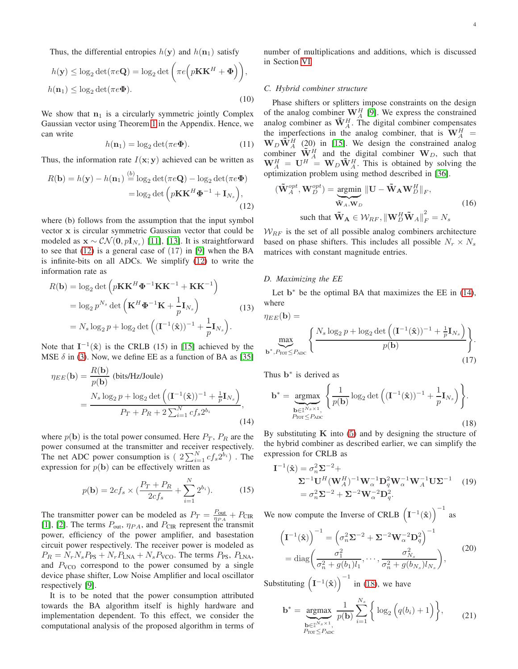Thus, the differential entropies  $h(\mathbf{y})$  and  $h(\mathbf{n}_1)$  satisfy

$$
h(\mathbf{y}) \le \log_2 \det(\pi e \mathbf{Q}) = \log_2 \det \left( \pi e \left( p \mathbf{K} \mathbf{K}^H + \Phi \right) \right),
$$
  

$$
h(\mathbf{n}_1) \le \log_2 \det(\pi e \Phi).
$$
 (10)

We show that  $n_1$  is a circularly symmetric jointly Complex Gaussian vector using Theorem [1](#page-7-1) in the Appendix. Hence, we can write

$$
h(\mathbf{n}_1) = \log_2 \det(\pi e \Phi). \tag{11}
$$

Thus, the information rate  $I(x; y)$  achieved can be written as

<span id="page-3-0"></span>
$$
R(\mathbf{b}) = h(\mathbf{y}) - h(\mathbf{n}_1) \stackrel{(b)}{=} \log_2 \det(\pi e \mathbf{Q}) - \log_2 \det(\pi e \mathbf{\Phi})
$$

$$
= \log_2 \det \left( p \mathbf{K} \mathbf{K}^H \mathbf{\Phi}^{-1} + \mathbf{I}_{N_s} \right), \tag{12}
$$

where (b) follows from the assumption that the input symbol vector x is circular symmetric Gaussian vector that could be modeled as  $\mathbf{x} \sim \mathcal{CN}(\mathbf{0}, p\mathbf{I}_{N_s})$  [\[11\]](#page-8-10), [\[13\]](#page-9-0). It is straightforward to see that  $(12)$  is a general case of  $(17)$  in [\[9\]](#page-8-8) when the BA is infinite-bits on all ADCs. We simplify ([12](#page-3-0)) to write the information rate as

<span id="page-3-4"></span>
$$
R(\mathbf{b}) = \log_2 \det \left( p\mathbf{K}\mathbf{K}^H \boldsymbol{\Phi}^{-1} \mathbf{K}\mathbf{K}^{-1} + \mathbf{K}\mathbf{K}^{-1} \right)
$$
  
=  $\log_2 p^{N_s} \det \left( \mathbf{K}^H \boldsymbol{\Phi}^{-1} \mathbf{K} + \frac{1}{p} \mathbf{I}_{N_s} \right)$  (13)  
=  $N_s \log_2 p + \log_2 \det \left( (\mathbf{I}^{-1}(\hat{\mathbf{x}}))^{-1} + \frac{1}{p} \mathbf{I}_{N_s} \right).$ 

Note that  $I^{-1}(\hat{x})$  is the CRLB (15) in [\[15\]](#page-9-14) achieved by the MSE  $\delta$  in [\(3\)](#page-2-3). Now, we define EE as a function of BA as [\[35\]](#page-9-20)

<span id="page-3-1"></span>
$$
\eta_{EE}(\mathbf{b}) = \frac{R(\mathbf{b})}{p(\mathbf{b})} \text{ (bits/Hz/Joule)}
$$
  
= 
$$
\frac{N_s \log_2 p + \log_2 \det \left( (\mathbf{I}^{-1}(\hat{\mathbf{x}}))^{-1} + \frac{1}{p} \mathbf{I}_{N_s} \right)}{P_T + P_R + 2 \sum_{i=1}^N c f_s 2^{b_i}},
$$
(14)

where  $p(\mathbf{b})$  is the total power consumed. Here  $P_T$ ,  $P_R$  are the power consumed at the transmitter and receiver respectively. The net ADC power consumption is  $(2\sum_{i=1}^{N}cf_{s}2^{\tilde{b}_{i}})$ . The expression for  $p(\mathbf{b})$  can be effectively written as

$$
p(\mathbf{b}) = 2cf_s \times (\frac{P_T + P_R}{2cf_s} + \sum_{i=1}^{N} 2^{b_i}).
$$
 (15)

The transmitter power can be modeled as  $P_T = \frac{P_{\text{out}}}{\eta_{PA}} + P_{\text{CIR}}$ [\[1\]](#page-8-0), [\[2\]](#page-8-1). The terms  $P_{\text{out}}$ ,  $\eta_{PA}$ , and  $P_{\text{CIR}}$  represent the transmit power, efficiency of the power amplifier, and basestation circuit power respectively. The receiver power is modeled as  $P_R = N_r N_s P_{PS} + N_r P_{LNA} + N_s P_{VCO}$ . The terms  $P_{PS}$ ,  $P_{LNA}$ , and  $P_{VCO}$  correspond to the power consumed by a single device phase shifter, Low Noise Amplifier and local oscillator respectively [\[9\]](#page-8-8).

It is to be noted that the power consumption attributed towards the BA algorithm itself is highly hardware and implementation dependent. To this effect, we consider the computational analysis of the proposed algorithm in terms of number of multiplications and additions, which is discussed in Section [VI.](#page-5-0)

## *C. Hybrid combiner structure*

Phase shifters or splitters impose constraints on the design of the analog combiner  $\mathbf{W}_{A}^{H}$  [\[9\]](#page-8-8). We express the constrained analog combiner as  $\tilde{\mathbf{W}}_A^H$ . The digital combiner compensates the imperfections in the analog combiner, that is  $W_A^H$  =  $W_D \tilde{W}_A^H$  (20) in [\[15\]](#page-9-14). We design the constrained analog combiner  $\tilde{\mathbf{W}}_A^H$  and the digital combiner  $\mathbf{W}_D$ , such that  $\mathbf{W}_A^H = \mathbf{U}^H = \mathbf{W}_D \tilde{\mathbf{W}}_A^H$ . This is obtained by solving the optimization problem using method described in [\[36\]](#page-9-21).

$$
(\tilde{\mathbf{W}}_{A}^{opt}, \mathbf{W}_{D}^{opt}) = \underbrace{\text{argmin}}_{\tilde{\mathbf{W}}_{A}, \mathbf{W}_{D}} \|\mathbf{U} - \tilde{\mathbf{W}}_{A} \mathbf{W}_{D}^{H}\|_{F},
$$
\n
$$
\text{such that } \tilde{\mathbf{W}}_{A} \in \mathcal{W}_{RF}, \|\mathbf{W}_{D}^{H}\tilde{\mathbf{W}}_{A}\|_{F}^{2} = N_{s}
$$
\n(16)

 $W_{RF}$  is the set of all possible analog combiners architecture based on phase shifters. This includes all possible  $N_r \times N_s$ matrices with constant magnitude entries.

## *D. Maximizing the EE*

Let  $b^*$  be the optimal BA that maximizes the EE in  $(14)$ , where

$$
\eta_{EE}(\mathbf{b}) = \max_{\mathbf{b}^*, P_{\text{TOT}} \le P_{\text{ADC}}} \left\{ \frac{N_s \log_2 p + \log_2 \det \left( (\mathbf{I}^{-1}(\hat{\mathbf{x}}))^{-1} + \frac{1}{p} \mathbf{I}_{N_s} \right)}{p(\mathbf{b})} \right\}.
$$
\n(17)

Thus **b**<sup>\*</sup> is derived as

<span id="page-3-2"></span>
$$
\mathbf{b}^* = \underset{\substack{\mathbf{b} \in \mathbb{I}^{N_s \times 1}, \\ P_{\text{TOT}} \le P_{\text{ADC}}}}{\operatorname{argmax}} \left\{ \frac{1}{p(\mathbf{b})} \log_2 \det \left( (\mathbf{I}^{-1}(\hat{\mathbf{x}}))^{-1} + \frac{1}{p} \mathbf{I}_{N_s} \right) \right\}.
$$
\n(18)

By substituting  $\bf{K}$  into ([5](#page-2-5)) and by designing the structure of the hybrid combiner as described earlier, we can simplify the expression for CRLB as

$$
\mathbf{I}^{-1}(\hat{\mathbf{x}}) = \sigma_n^2 \Sigma^{-2} +
$$
  
\n
$$
\Sigma^{-1} \mathbf{U}^H (\mathbf{W}_A^H)^{-1} \mathbf{W}_\alpha^{-1} \mathbf{D}_q^2 \mathbf{W}_\alpha^{-1} \mathbf{W}_A^{-1} \mathbf{U} \Sigma^{-1}
$$
 (19)  
\n
$$
= \sigma_n^2 \Sigma^{-2} + \Sigma^{-2} \mathbf{W}_\alpha^{-2} \mathbf{D}_q^2.
$$

We now compute the Inverse of CRLB  $(I^{-1}(\hat{x}))^{-1}$  as

$$
\left(\mathbf{I}^{-1}(\hat{\mathbf{x}})\right)^{-1} = \left(\sigma_n^2 \Sigma^{-2} + \Sigma^{-2} \mathbf{W}_{\alpha}^{-2} \mathbf{D}_q^2\right)^{-1}
$$

$$
= \text{diag}\left(\frac{\sigma_1^2}{\sigma_n^2 + g(b_1)l_1}, \cdots, \frac{\sigma_{N_s}^2}{\sigma_n^2 + g(b_{N_s})l_{N_s}}\right),\tag{20}
$$

Substituting  $(\mathbf{I}^{-1}(\hat{\mathbf{x}}))$ <sup>-1</sup> in ([18](#page-3-2)), we have

<span id="page-3-3"></span>
$$
\mathbf{b}^* = \underset{\substack{\mathbf{b} \in \mathbb{I}^{N_s \times 1},\\P_{\text{TOT}} \le P_{\text{ADC}}}}{\text{argmax}} \frac{1}{p(\mathbf{b})} \sum_{i=1}^{N_s} \left\{ \log_2 \left( q(b_i) + 1 \right) \right\},\tag{21}
$$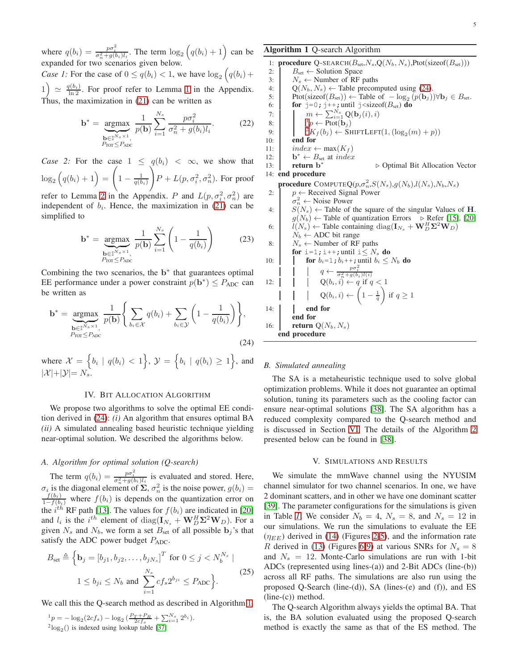where  $q(b_i) = \frac{p\sigma_i^2}{\sigma_n^2 + g(b_i)l_i}$ . The term  $\log_2(q(b_i) + 1)$  can be expanded for two scenarios given below.

*Case 1:* For the case of  $0 \le q(b_i) < 1$ , we have  $\log_2(q(b_i) +$  $1\big) \simeq \frac{q(b_i)}{\ln 2}$  $1\big) \simeq \frac{q(b_i)}{\ln 2}$ . For proof refer to Lemma 1 in the Appendix. Thus, the maximization in [\(21\)](#page-3-3) can be written as

$$
\mathbf{b}^* = \underbrace{\underset{\mathbf{b} \in \mathbb{I}^{N_s \times 1}}{\operatorname{argmax}}}{\underset{P_{\text{TOT}} \le P_{\text{ADC}}}{\sum} \frac{1}{p(\mathbf{b})} \sum_{i=1}^{N_s} \frac{p\sigma_i^2}{\sigma_n^2 + g(b_i)l_i}}.
$$
 (22)

*Case 2:* For the case  $1 \leq q(b_i) < \infty$ , we show that  $\log_2(q(b_i)+1)=$  $\sqrt{ }$  $1 - \frac{1}{q(b_i)}$  $\setminus$  $P + L(p, \sigma_i^2, \sigma_n^2)$ . For proof

refer to Lemma [2](#page-8-12) in the Appendix. P and  $L(p, \sigma_i^2, \sigma_n^2)$  are independent of  $b_i$ . Hence, the maximization in [\(21\)](#page-3-3) can be simplified to

$$
\mathbf{b}^* = \underset{\substack{\mathbf{b} \in \mathbb{I}^{N_s \times 1},\\P_{\text{TOT}} \le P_{\text{ADC}}}}{\text{argmax}} \frac{1}{p(\mathbf{b})} \sum_{i=1}^{N_s} \left(1 - \frac{1}{q(b_i)}\right) \tag{23}
$$

Combining the two scenarios, the  $b^*$  that guarantees optimal EE performance under a power constraint  $p(\mathbf{b}^*) \leq P_{ADC}$  can be written as

<span id="page-4-2"></span>
$$
\mathbf{b}^* = \underset{\substack{\mathbf{b} \in \mathbb{I}^{N_s \times 1}, \\ P_{\text{TOT}} \le P_{\text{ADC}}}}{\text{argmax}} \frac{1}{p(\mathbf{b})} \left\{ \sum_{b_i \in \mathcal{X}} q(b_i) + \sum_{b_i \in \mathcal{Y}} \left( 1 - \frac{1}{q(b_i)} \right) \right\},\tag{24}
$$

where  $\mathcal{X} = \{b_i \mid q(b_i) < 1\}, \mathcal{Y} = \{b_i \mid q(b_i) \geq 1\},\$ and  $|\mathcal{X}|+|\mathcal{Y}|=N_s.$ 

#### IV. BIT ALLOCATION ALGORITHM

<span id="page-4-0"></span>We propose two algorithms to solve the optimal EE condition derived in [\(24\)](#page-4-2): *(i)* An algorithm that ensures optimal BA *(ii)* A simulated annealing based heuristic technique yielding near-optimal solution. We described the algorithms below.

# *A. Algorithm for optimal solution (Q-search)*

The term  $q(b_i) = \frac{p\sigma_i^2}{\sigma_n^2 + g(b_i)l_i}$  is evaluated and stored. Here,  $\sigma_i$  is the diagonal element of  $\Sigma$ ,  $\sigma_n^2$  is the noise power,  $g(b_i) = \frac{f(b_i)}{1 - f(b_i)}$  where  $f(b_i)$  is depends on the quantization error on the  $i^{th}$  RF path [\[13\]](#page-9-0). The values for  $f(b_i)$  are indicated in [\[20\]](#page-9-3) and  $l_i$  is the  $i^{th}$  element of  $\text{diag}(\mathbf{I}_{N_s} + \mathbf{W}_D^H \mathbf{\Sigma}^2 \mathbf{W}_D)$ . For a given  $N_s$  and  $N_b$ , we form a set  $B_{set}$  of all possible  $\mathbf{b}_i$ 's that satisfy the ADC power budget  $P_{ADC}$ .

$$
B_{\text{set}} \triangleq \left\{ \mathbf{b}_{j} = [b_{j1}, b_{j2}, \dots, b_{jN_{s}}]^{T} \text{ for } 0 \leq j < N_{b}^{N_{s}} \mid 1 \leq b_{ji} \leq N_{b} \text{ and } \sum_{i=1}^{N_{s}} cf_{s} 2^{b_{ji}} \leq P_{\text{ADC}} \right\}.
$$
\n
$$
(25)
$$

We call this the Q-search method as described in Algorithm [1](#page-4-3).

$$
{}^{1}p = -\log_2(2cf_s) - \log_2\left(\frac{P_T + P_R}{2cf_s} + \sum_{i=1}^{N_s} 2^{b_i}\right).
$$
  
<sup>2</sup> $\log_2()$  is indexed using lookup table [37]

# <span id="page-4-3"></span>Algorithm 1 Q-search Algorithm

1: **procedure** Q-SEARCH( $B_{\text{set}}, N_s, Q(N_b, N_s)$ ,Ptot(sizeof( $B_{\text{set}}$ )))<br>2:  $B_{\text{set}} \leftarrow$  Solution Space  $B_{\text{set}} \leftarrow$  Solution Space 3:  $N_s \leftarrow$  Number of RF paths 4:  $Q(N_b, N_s) \leftarrow$  Table precomputed using [\(24\)](#page-4-2).<br>5: Ptot(sizeof( $B_{\text{set}}$ ))  $\leftarrow$  Table of  $-\log_2(p(\mathbf{b}_i))$ 5: Ptot(sizeof( $B_{\text{set}}$ ) ← Table of  $-\log_2(p(\mathbf{b}_j)) \forall \mathbf{b}_j \in B_{\text{set}}$ . 6: **for**  $j=0$ ;  $j++$ ; until  $j$  < size of  $(B_{set})$  do 7:  $\parallel \qquad \mid m \leftarrow \sum_{i=1}^{N_s} \mathbf{Q}(\mathbf{b}_j(i), i)$ 8:  $\begin{array}{|c|c|c|} \hline \end{array}$  1  ${}^1p \leftarrow \text{Ptot}(\mathbf{b}_j)$ 9:  $\begin{pmatrix} 2K_f(b_j) \leftarrow \text{SHIFTLET}(1, (\log_2(m) + p)) \end{pmatrix}$ 10: end for 11:  $index \leftarrow max(K_f)$ 12:  $\mathbf{b}^* \leftarrow B_{\text{set}}$  at *index* 13: return b<sup>\*</sup> ⊲ Optimal Bit Allocation Vector 14: end procedure **procedure** COMPUTEQ( $p, \sigma_n^2$ , $S(N_s), g(N_b), l(N_s), N_b, N_s)$ 2:  $p \leftarrow$  Received Signal Power  $\sigma_n^2 \leftarrow$  Noise Power 4:  $S(N_s) \leftarrow$  Table of the square of the singular Values of H.  $g(N_b)$  ← Table of quantization Errors  $\triangleright$  Refer [\[15\]](#page-9-14), [\[20\]](#page-9-3) 6:  $\hat{l}(N_s) \leftarrow$  Table containing diag( $\mathbf{I}_{N_s} + \mathbf{W}_D^H \mathbf{\Sigma}^2 \mathbf{W}_D$ )  $N_b \leftarrow ADC$  bit range 8:  $N_s \leftarrow$  Number of RF paths for i=1; i++; until i $\leq N_s$  do 10: **for**  $b_i=1$ ;  $b_i++$ ; until  $b_i \leq N_b$  **do** 12:  $\begin{array}{c|c} | & q \leftarrow & \frac{p\sigma_i^2}{\sigma_n^2 + g(b_i)l(i)} \\ | & q \leftarrow & \frac{p\sigma_i^2}{\sigma_n^2 + g(b_i)l(i)} \\ | & Q(b_i, i) \leftarrow q \text{ if } q < 1 \end{array}$  $\mathrm{Q}(b_i, i) \leftarrow \left(1 - \frac{1}{q}\right)$ if  $q \geq 1$ 14: **end for** end for 16: **return**  $Q(N_b, N_s)$ end procedure

## *B. Simulated annealing*

The SA is a metaheuristic technique used to solve global optimization problems. While it does not guarantee an optimal solution, tuning its parameters such as the cooling factor can ensure near-optimal solutions [\[38\]](#page-9-23). The SA algorithm has a reduced complexity compared to the Q-search method and is discussed in Section [VI.](#page-5-0) The details of the Algorithm [2](#page-5-1) presented below can be found in [\[38\]](#page-9-23).

#### V. SIMULATIONS AND RESULTS

<span id="page-4-1"></span>We simulate the mmWave channel using the NYUSIM channel simulator for two channel scenarios. In one, we have 2 dominant scatters, and in other we have one dominant scatter [\[39\]](#page-9-24). The parameter configurations for the simulations is given in Table [I](#page-5-2). We consider  $N_b = 4$ ,  $N_s = 8$ , and  $N_s = 12$  in our simulations. We run the simulations to evaluate the EE  $(\eta_{EE})$  derived in [\(14\)](#page-3-1) (Figures [2-5\)](#page-6-0), and the information rate R derived in [\(13\)](#page-3-4) (Figures [6-9\)](#page-6-0) at various SNRs for  $N_s = 8$ and  $N_s = 12$ . Monte-Carlo simulations are run with 1-bit ADCs (represented using lines-(a)) and 2-Bit ADCs (line-(b)) across all RF paths. The simulations are also run using the proposed Q-Search (line-(d)), SA (lines-(e) and (f)), and ES  $(line-(c))$  method.

The Q-search Algorithm always yields the optimal BA. That is, the BA solution evaluated using the proposed Q-search method is exactly the same as that of the ES method. The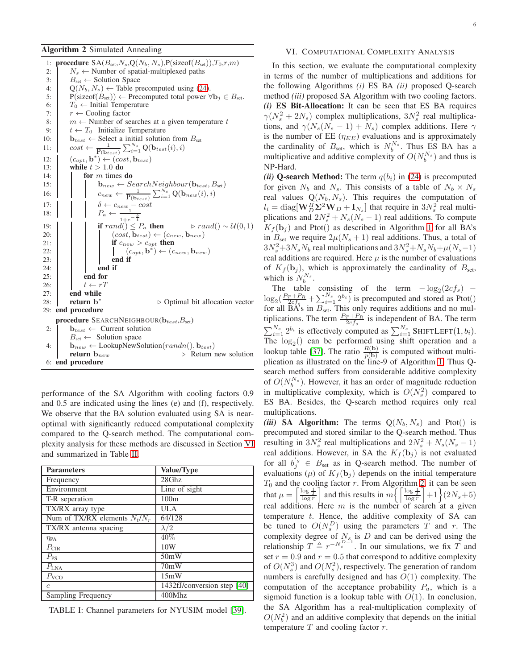# <span id="page-5-1"></span>Algorithm 2 Simulated Annealing

1: procedure  $\text{SA}(B_{\text{set}}, N_s, \text{Q}(N_b, N_s), \text{P}(\text{sizeof}(B_{\text{set}})), T_0, r, m)$ 2:  $N_s \leftarrow$  Number of spatial-multiplexed paths 3:  $B_{\text{set}} \leftarrow$  Solution Space 4:  $Q(N_b, N_s) \leftarrow$  Table precomputed using [\(24\)](#page-4-2).<br>5:  $P(sizeof(B_{set})) \leftarrow$  Precomputed total power  $P(\text{sizeof}(B_{\text{set}})) \leftarrow \text{Precomputed total power } \forall \mathbf{b}_j \in B_{\text{set}}.$ 6:  $T_0 \leftarrow$  Initial Temperature 7:  $r \leftarrow$  Cooling factor 8:  $m \leftarrow$  Number of searches at a given temperature  $t \leftarrow T_0$  Initialize Temperature  $t \leftarrow T_0$  Initialize Temperature 10:  $\mathbf{b}_{test} \leftarrow$  Select a initial solution from  $B_{set}$ 11:  $\cos t \leftarrow \frac{1}{\mathbf{P}(\mathbf{b}_{test})} \sum_{i=1}^{N_s} \mathbf{Q}(\mathbf{b}_{test}(i), i)$ 12:  $(c_{opt}, \mathbf{b}^*) \leftarrow (cost, \mathbf{b}_{test})$ 13: while  $t > 1.0$  do 14:  $\int$  for m times do 15: **b**<sub>new</sub> ← SearchNeighbour( $\mathbf{b}_{test}, B_{set}$ ) 16:  $\begin{array}{|c|c|c|}\n\hline\n1 & c_{new} \leftarrow & \frac{1}{P(\mathbf{b}_{test})} \sum_{i=1}^{N_s} \mathbf{Q}(\mathbf{b}_{new}(i), i)\n\end{array}$ 17:  $\begin{vmatrix} \frac{\delta}{\epsilon} & -\cos t \\ 0 & \frac{\delta}{\epsilon} \end{vmatrix}$ 18:  $P_a \leftarrow 1+e^{-\frac{\delta}{t}}$ 19: **if**  $rand() \leq P_a$  **then**  $\triangleright rand() \sim \mathcal{U}(0, 1)$ 20:  $\left\{ \qquad \right\}$   $\left( cost, \mathbf{b}_{test} \right) \leftarrow \left( c_{new}, \mathbf{b}_{new} \right)$ 21: **if**  $c_{new} > c_{ont}$  then 22:  $\begin{vmatrix} \cdot & \cdot \\ \cdot & \cdot \end{vmatrix}$   $(c_{opt}, \mathbf{b}^*) \leftarrow (c_{new}, \mathbf{b}_{new})$  $23:$   $\begin{array}{|c|c|c|c|c|} \hline \end{array}$  end if  $24:$   $\blacksquare$  end if  $25:$  | | end for 26:  $t \leftarrow rT$  $27:$  end while 28: return b<sup>\*</sup> ⊲ Optimal bit allocation vector 29: end procedure procedure SEARCHNEIGHBOUR $(b_{test}, B_{set})$ 2:  $\mathbf{b}_{test} \leftarrow$  Current solution  $B_{\text{set}} \leftarrow$  Solution space 4:  $\begin{array}{c} \n\text{b}_{new} \leftarrow \text{LookupNewSolution}(randn(), \mathbf{b}_{test}) \\
\text{return } \mathbf{b}_{new} \leftarrow \text{Newton}(randn(), \mathbf{b}_{test})\n\end{array}$ ⊳ Return new solution 6: end procedure

performance of the SA Algorithm with cooling factors 0.9 and 0.5 are indicated using the lines (e) and (f), respectively. We observe that the BA solution evaluated using SA is nearoptimal with significantly reduced computational complexity compared to the Q-search method. The computational complexity analysis for these methods are discussed in Section [VI](#page-5-0) and summarized in Table [II.](#page-7-3)

<span id="page-5-2"></span>

| <b>Parameters</b>               | Value/Type                  |
|---------------------------------|-----------------------------|
| Frequency                       | 28Ghz                       |
| Environment                     | Line of sight               |
| T-R seperation                  | 100m                        |
| TX/RX array type                | ULA                         |
| Num of TX/RX elements $N_t/N_r$ | 64/128                      |
| TX/RX antenna spacing           | $\lambda/2$                 |
| $\eta_{\text{PA}}$              | 40%                         |
| $P_{\text{CIR}}$                | 10W                         |
| $P_{PS}$                        | 50mW                        |
| $P_{\text{LNA}}$                | 70mW                        |
| $P_{VCO}$                       | 15mW                        |
| $\epsilon$                      | 1432fJ/conversion step [40] |
| Sampling Frequency              | 400Mhz                      |

TABLE I: Channel parameters for NYUSIM model [\[39\]](#page-9-24).

# <span id="page-5-0"></span>VI. COMPUTATIONAL COMPLEXITY ANALYSIS

In this section, we evaluate the computational complexity in terms of the number of multiplications and additions for the following Algorithms *(i)* ES BA *(ii)* proposed Q-search method *(iii)* proposed SA Algorithm with two cooling factors. *(i)* ES Bit-Allocation: It can be seen that ES BA requires  $\gamma(N_s^2 + 2N_s)$  complex multiplications,  $3N_s^2$  real multiplications, and  $\gamma(N_s(N_s - 1) + N_s)$  complex additions. Here  $\gamma$ is the number of EE  $(\eta_{EE})$  evaluations and is approximately the cardinality of  $B_{\text{set}}$ , which is  $N_b^{N_s}$ . Thus ES BA has a multiplicative and additive complexity of  $O(N_b^{N_s})$  and thus is NP-Hard.

*(ii)* Q-search Method: The term  $q(b_i)$  in [\(24\)](#page-4-2) is precomputed for given  $N_b$  and  $N_s$ . This consists of a table of  $N_b \times N_s$ real values  $Q(N_b, N_s)$ . This requires the computation of  $l_i = \text{diag}[\mathbf{W}_D^H \Sigma^2 \mathbf{W}_D + \mathbf{I}_{N_s}]$  that require in  $3N_s^2$  real multiplications and  $2N_s^2 + N_s(N_s - 1)$  real additions. To compute  $K_f(\mathbf{b}_i)$  and Ptot() as described in Algorithm [1](#page-4-3) for all BA's in  $B_{\text{set}}$  we require  $2\mu(N_s + 1)$  real additions. Thus, a total of  $3N_s^2+3N_sN_b$  real multiplications and  $3N_s^2+N_sN_b+\mu(N_s-1)$ real additions are required. Here  $\mu$  is the number of evaluations of  $K_f(\mathbf{b}_i)$ , which is approximately the cardinality of  $B_{\text{set}}$ , which is  $N_b^{N_s}$ .

The table consisting of the term  $-\log_2(2cf_s)$  –  $\log_2(\frac{P_T+P_R}{2cf_s}+\sum_{i=1}^{N_s}2^{b_i})$  is precomputed and stored as Ptot() for all  $\overrightarrow{BA}$ 's in  $B_{set}$ . This only requires additions and no multiplications. The term  $\frac{P_T + P_R}{2cf_s}$  is independent of BA. The term  $\sum_{i=1}^{N_s} 2^{b_i}$  is effectively computed as  $\sum_{i=1}^{N_s}$  SHIFTLEFT $(1, b_i)$ . The  $log_2()$  can be performed using shift operation and a lookup table [\[37\]](#page-9-22). The ratio  $\frac{R(b)}{p(b)}$  is computed without multiplication as illustrated on the line-9 of Algorithm [1.](#page-4-3) Thus Qsearch method suffers from considerable additive complexity of  $O(N_b^{N_s})$ . However, it has an order of magnitude reduction in multiplicative complexity, which is  $O(N_s^2)$  compared to ES BA. Besides, the Q-search method requires only real multiplications.

*(iii)* SA Algorithm: The terms  $Q(N_b, N_s)$  and Ptot() is precomputed and stored similar to the Q-search method. Thus resulting in  $3N_s^2$  real multiplications and  $2N_s^2 + N_s(N_s - 1)$ real additions. However, in SA the  $K_f(\mathbf{b}_j)$  is not evaluated for all  $b_j^s \in B_{\text{set}}$  as in Q-search method. The number of evaluations ( $\mu$ ) of  $K_f({\bf b}_j)$  depends on the initial temperature  $T_0$  and the cooling factor r. From Algorithm [2,](#page-5-1) it can be seen that  $\mu = \left\lceil \frac{\log \frac{1}{T}}{\log r} \right\rceil$  and this results in  $m \left\{ \left\lceil \frac{\log \frac{1}{T}}{\log r} \right\rceil + 1 \right\} (2N_s + 5)$ real additions. Here  $m$  is the number of search at a given temperature  $t$ . Hence, the additive complexity of SA can be tuned to  $O(N_s^D)$  using the parameters T and r. The complexity degree of  $N_s$  is D and can be derived using the relationship  $T \triangleq r^{-N_s^{D-1}}$ . In our simulations, we fix T and set  $r = 0.9$  and  $r = 0.5$  that correspond to additive complexity of  $O(N_s^3)$  and  $O(N_s^2)$ , respectively. The generation of random numbers is carefully designed and has  $O(1)$  complexity. The computation of the acceptance probability  $P_a$ , which is a sigmoid function is a lookup table with  $O(1)$ . In conclusion, the SA Algorithm has a real-multiplication complexity of  $O(N_b^2)$  and an additive complexity that depends on the initial temperature  $T$  and cooling factor  $r$ .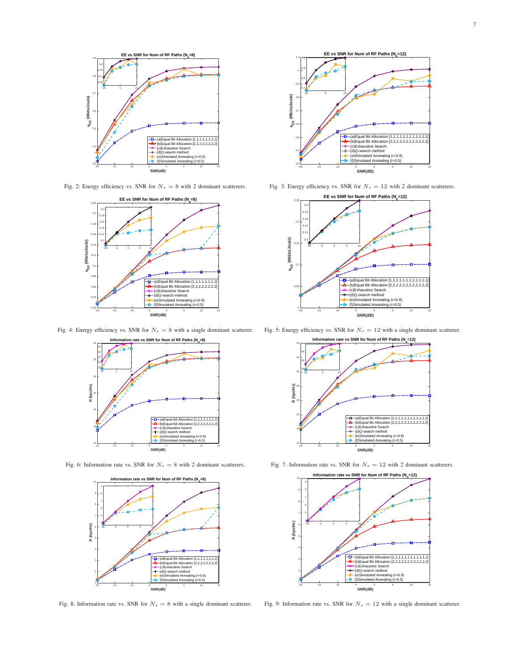<span id="page-6-0"></span>

Fig. 2: Energy efficiency vs. SNR for  $N_s = 8$  with 2 dominant scatterers.



Fig. 4: Energy efficiency vs. SNR for  $N_s = 8$  with a single dominant scatterer.



Fig. 6: Information rate vs. SNR for  $N_s = 8$  with 2 dominant scatterers.



Fig. 8: Information rate vs. SNR for  $N_s = 8$  with a single dominant scatterer.



Fig. 3: Energy efficiency vs. SNR for  $N_s = 12$  with 2 dominant scatterers.



Fig. 5: Energy efficiency vs. SNR for  $N_s = 12$  with a single dominant scatterer.



Fig. 7: Information rate vs. SNR for  $N_s = 12$  with 2 dominant scatterers.



Fig. 9: Information rate vs. SNR for  $N_s = 12$  with a single dominant scatterer.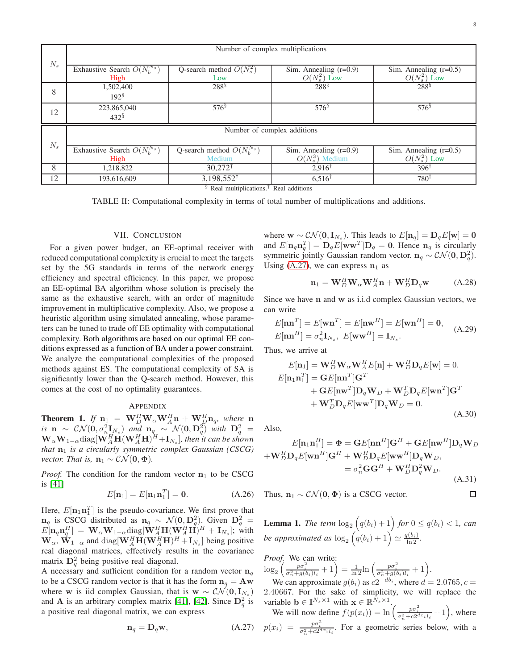<span id="page-7-3"></span>

|         | Number of complex multiplications        |                                          |                                               |                                            |
|---------|------------------------------------------|------------------------------------------|-----------------------------------------------|--------------------------------------------|
| $N_{s}$ | Exhaustive Search $O(N_h^{N_s})$<br>High | Q-search method $O(N_s^2)$<br>Low        | Sim. Annealing $(r=0.9)$<br>$O(N_s^2)$ Low    | Sim. Annealing $(r=0.5)$<br>$O(N_s^2)$ Low |
| 8       | 1,502,400<br>$192^{\frac{5}{2}}$         | $288^{\S}$                               | $288^{\frac{5}{3}}$                           | $288^{\frac{5}{3}}$                        |
| 12      | 223,865,040<br>$432^{\frac{5}{3}}$       | $576^{\frac{5}{3}}$                      | $576^{\frac{5}{3}}$                           | $576^{\frac{5}{3}}$                        |
| $N_{s}$ | Number of complex additions              |                                          |                                               |                                            |
|         | Exhaustive Search $O(N_h^{N_s})$<br>High | Q-search method $O(N_h^{N_s})$<br>Medium | Sim. Annealing $(r=0.9)$<br>$O(N_s^3)$ Medium | Sim. Annealing $(r=0.5)$<br>$O(N_s^2)$ Low |
| 8       | 1.218.822                                | $30,272^{\dagger}$                       | $2,916^{\dagger}$                             | $396^{\dagger}$                            |
| 12      | 193,616,609                              | $3,198,552^{\dagger}$                    | $6,516^{\dagger}$                             | $780^{\dagger}$                            |

§ Real multiplications.† Real additions

TABLE II: Computational complexity in terms of total number of multiplications and additions.

## VII. CONCLUSION

<span id="page-7-0"></span>For a given power budget, an EE-optimal receiver with reduced computational complexity is crucial to meet the targets set by the 5G standards in terms of the network energy efficiency and spectral efficiency. In this paper, we propose an EE-optimal BA algorithm whose solution is precisely the same as the exhaustive search, with an order of magnitude improvement in multiplicative complexity. Also, we propose a heuristic algorithm using simulated annealing, whose parameters can be tuned to trade off EE optimality with computational complexity. Both algorithms are based on our optimal EE conditions expressed as a function of BA under a power constraint. We analyze the computational complexities of the proposed methods against ES. The computational complexity of SA is significantly lower than the Q-search method. However, this comes at the cost of no optimality guarantees.

# APPENDIX

<span id="page-7-1"></span>**Theorem 1.** If  $\mathbf{n}_1 = \mathbf{W}_D^H \mathbf{W}_\alpha \mathbf{W}_A^H \mathbf{n} + \mathbf{W}_D^H \mathbf{n}_q$ , where  $\mathbf{n}_1$ *is*  $\mathbf{n} \sim \mathcal{CN}(\mathbf{0}, \sigma_n^2 \mathbf{I}_{N_s})$  *and*  $\mathbf{n}_q \sim \mathcal{N}(\mathbf{0}, \mathbf{D}_q^2)$  *with*  $\mathbf{D}_q^2 =$  $\mathbf{W}_{\alpha} \mathbf{W}_{1-\alpha}$ diag $[\mathbf{W}_A^H \mathbf{H} (\mathbf{W}_A^H \mathbf{H})^H + \mathbf{I}_{N_s}]$ , then it can be shown *that*  $n_1$  *is a circularly symmetric complex Gaussian (CSCG) vector. That is,*  $n_1 \sim \mathcal{CN}(0, \Phi)$ .

*Proof.* The condition for the random vector  $n_1$  to be CSCG is [\[41\]](#page-9-26)

$$
E[\mathbf{n}_1] = E[\mathbf{n}_1 \mathbf{n}_1^T] = \mathbf{0}.\tag{A.26}
$$

Here,  $E[\mathbf{n}_1 \mathbf{n}_1^T]$  is the pseudo-covariance. We first prove that  $n_q$  is CSCG distributed as  $n_q \sim \mathcal{N}(0, D_q^2)$ . Given  $D_q^2 =$  $E[\mathbf{n}_q \mathbf{n}_q^H] = \mathbf{W}_{\alpha} \mathbf{W}_{1-\alpha} \text{diag}[\mathbf{W}_A^H \mathbf{H}(\mathbf{W}_A^H \mathbf{H})^H + \mathbf{I}_{N_s}]; \text{ with}$  $\mathbf{W}_{\alpha}$ ,  $\hat{\mathbf{W}}_{1-\alpha}$  and  $\text{diag}[\mathbf{W}_A^H \mathbf{H}(\mathbf{W}_A^H \mathbf{H})^H + \mathbf{I}_{N_s}]$  being positive real diagonal matrices, effectively results in the covariance matrix  $\mathbf{D}_q^2$  being positive real diagonal.

A necessary and sufficient condition for a random vector  $n_q$ to be a CSCG random vector is that it has the form  $n_q = Aw$ where w is iid complex Gaussian, that is  $w \sim \mathcal{CN}(0, I_{N_s})$ and **A** is an arbitrary complex matrix [\[41\]](#page-9-26), [\[42\]](#page-9-27). Since  $\mathbf{D}_q^2$  is a positive real diagonal matrix, we can express

<span id="page-7-4"></span>
$$
\mathbf{n}_q = \mathbf{D}_q \mathbf{w},\tag{A.27}
$$

where  $\mathbf{w} \sim \mathcal{CN}(\mathbf{0}, \mathbf{I}_{N_s})$ . This leads to  $E[\mathbf{n}_q] = \mathbf{D}_q E[\mathbf{w}] = \mathbf{0}$ and  $E[\mathbf{n}_q \mathbf{n}_q^T] = \mathbf{D}_q E[\mathbf{w} \mathbf{w}^T] \mathbf{D}_q = \mathbf{0}$ . Hence  $\mathbf{n}_q$  is circularly symmetric jointly Gaussian random vector.  $n_q \sim \mathcal{CN}(0, D_q^2)$ . Using [\(A.27\)](#page-7-4), we can express  $n_1$  as

$$
\mathbf{n}_1 = \mathbf{W}_D^H \mathbf{W}_\alpha \mathbf{W}_A^H \mathbf{n} + \mathbf{W}_D^H \mathbf{D}_q \mathbf{w} \tag{A.28}
$$

Since we have n and w as i.i.d complex Gaussian vectors, we can write

$$
E[\mathbf{n}\mathbf{n}^T] = E[\mathbf{w}\mathbf{n}^T] = E[\mathbf{n}\mathbf{w}^H] = E[\mathbf{w}\mathbf{n}^H] = \mathbf{0},
$$
  
\n
$$
E[\mathbf{n}\mathbf{n}^H] = \sigma_n^2 \mathbf{I}_{N_s}, \ E[\mathbf{w}\mathbf{w}^H] = \mathbf{I}_{N_s}.
$$
\n(A.29)

Thus, we arrive at

$$
E[\mathbf{n}_1] = \mathbf{W}_D^H \mathbf{W}_\alpha \mathbf{W}_A^H E[\mathbf{n}] + \mathbf{W}_D^H \mathbf{D}_q E[\mathbf{w}] = 0.
$$
  
\n
$$
E[\mathbf{n}_1 \mathbf{n}_1^T] = \mathbf{G} E[\mathbf{n} \mathbf{n}^T] \mathbf{G}^T
$$
  
\n
$$
+ \mathbf{G} E[\mathbf{n} \mathbf{w}^T] \mathbf{D}_q \mathbf{W}_D + \mathbf{W}_D^T \mathbf{D}_q E[\mathbf{w} \mathbf{n}^T] \mathbf{G}^T
$$
  
\n
$$
+ \mathbf{W}_D^T \mathbf{D}_q E[\mathbf{w} \mathbf{w}^T] \mathbf{D}_q \mathbf{W}_D = 0.
$$
\n(A.30)

Also,

$$
E[\mathbf{n}_1 \mathbf{n}_1^H] = \mathbf{\Phi} = \mathbf{G}E[\mathbf{n}\mathbf{n}^H]\mathbf{G}^H + \mathbf{G}E[\mathbf{n}\mathbf{w}^H]\mathbf{D}_q\mathbf{W}_D
$$

$$
+\mathbf{W}_D^H \mathbf{D}_q E[\mathbf{w}\mathbf{n}^H]\mathbf{G}^H + \mathbf{W}_D^H \mathbf{D}_q E[\mathbf{w}\mathbf{w}^H]\mathbf{D}_q \mathbf{W}_D,
$$

$$
= \sigma_n^2 \mathbf{G} \mathbf{G}^H + \mathbf{W}_D^H \mathbf{D}_q^2 \mathbf{W}_D.
$$
(A.31)  
Thus,  $\mathbf{n}_1 \sim \mathcal{CN}(\mathbf{0}, \mathbf{\Phi})$  is a CSCG vector.

Thus,  $n_1 \sim \mathcal{CN}(0, \Phi)$  is a CSCG vector.

<span id="page-7-2"></span>**Lemma 1.** The term  $\log_2(q(b_i)+1)$  for  $0 \leq q(b_i) < 1$ , can *be approximated as*  $\log_2 \left( \overset{\cdot}{q}(b_i) + 1 \right) \approx \frac{\overset{\cdot}{q}(b_i)}{\ln 2}$ .

*Proof.* We can write:  $\log_2\left(\frac{p\sigma_i^2}{\sigma_n^2+g(b_i)l_i}+1\right) = \frac{1}{\ln 2}\ln\left(\frac{p\sigma_i^2}{\sigma_n^2+g(b_i)l_i}+1\right).$ 

We can approximate  $g(b_i)$  as  $c2^{-db_i}$ , where  $d = 2.0765$ ,  $c =$ 2.40667. For the sake of simplicity, we will replace the variable  $\mathbf{b} \in \mathbb{I}^{N_s \times 1}$  with  $\mathbf{x} \in \mathbb{R}^{\bar{N}_s \times 1}$ .<br>We will now define  $f(p(x_i)) = \ln\left(\frac{p\sigma_i^2}{\sigma_n^2 + c2^{dx_i}l_i} + 1\right)$ , where

$$
p(x_i) = \frac{p\sigma_i^2}{\sigma_n^2 + c2^{dx_i}l_i}
$$
. For a geometric series below, with a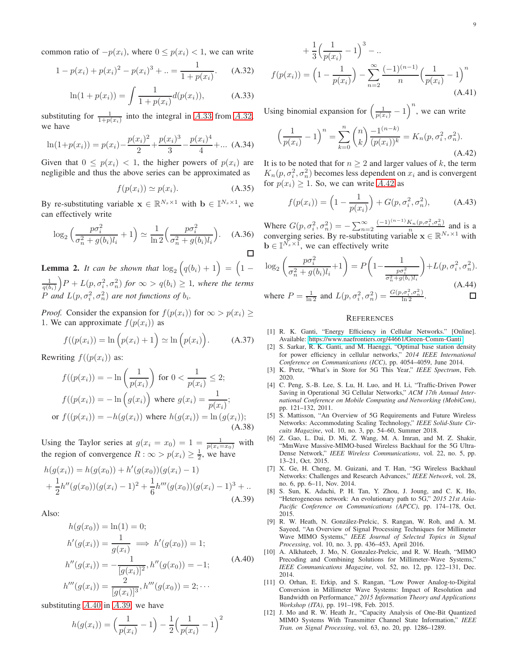common ratio of  $-p(x_i)$ , where  $0 \le p(x_i) < 1$ , we can write

<span id="page-8-14"></span>
$$
1 - p(x_i) + p(x_i)^2 - p(x_i)^3 + \ldots = \frac{1}{1 + p(x_i)}.\tag{A.32}
$$

<span id="page-8-13"></span>
$$
\ln(1 + p(x_i)) = \int \frac{1}{1 + p(x_i)} d(p(x_i)), \tag{A.33}
$$

substituting for  $\frac{1}{1+p(x_i)}$  into the integral in [A.](#page-8-14)33 from A.32, we have

$$
\ln(1+p(x_i)) = p(x_i) - \frac{p(x_i)^2}{2} + \frac{p(x_i)^3}{3} - \frac{p(x_i)^4}{4} + \dots
$$
 (A.34)

Given that  $0 \leq p(x_i) < 1$ , the higher powers of  $p(x_i)$  are negligible and thus the above series can be approximated as

$$
f(p(x_i)) \simeq p(x_i). \tag{A.35}
$$

By re-substituting variable  $\mathbf{x} \in \mathbb{R}^{N_s \times 1}$  with  $\mathbf{b} \in \mathbb{I}^{N_s \times 1}$ , we can effectively write

$$
\log_2\left(\frac{p\sigma_i^2}{\sigma_n^2 + g(b_i)l_i} + 1\right) \simeq \frac{1}{\ln 2} \left(\frac{p\sigma_i^2}{\sigma_n^2 + g(b_i)l_i}\right). \quad (A.36)
$$

<span id="page-8-12"></span>**Lemma 2.** It can be shown that  $\log_2(q(b_i) + 1) = (1 \frac{1}{q(b_i)}$   $P + L(p, \sigma_i^2, \sigma_n^2)$  for  $\infty > q(b_i) \geq 1$ , where the terms *P* and  $L(p, \sigma_i^2, \sigma_n^2)$  are not functions of  $b_i$ .

*Proof.* Consider the expansion for  $f(p(x_i))$  for  $\infty > p(x_i) \geq$ 1. We can approximate  $f(p(x_i))$  as

$$
f((p(xi)) = \ln (p(xi) + 1) \simeq \ln (p(xi)). \qquad (A.37)
$$

Rewriting  $f((p(x_i))$  as:

$$
f((p(x_i)) = -\ln\left(\frac{1}{p(x_i)}\right) \text{ for } 0 < \frac{1}{p(x_i)} \le 2;
$$
  

$$
f((p(x_i)) = -\ln\left(g(x_i)\right) \text{ where } g(x_i) = \frac{1}{p(x_i)};
$$
  
or 
$$
f((p(x_i)) = -h(g(x_i)) \text{ where } h(g(x_i)) = \ln(g(x_i));
$$
  
(A.38)

Using the Taylor series at  $g(x_i = x_0) = 1 = \frac{1}{p(x_i = x_0)}$  with the region of convergence  $R : \infty > p(x_i) \geq \frac{1}{2}$ , we have

<span id="page-8-16"></span>
$$
h(g(x_i)) = h(g(x_0)) + h'(g(x_0))(g(x_i) - 1)
$$
  
+ 
$$
\frac{1}{2}h''(g(x_0))(g(x_i) - 1)^2 + \frac{1}{6}h'''(g(x_0))(g(x_i) - 1)^3 + ...
$$
  
(A.39)

Also:

<span id="page-8-15"></span>
$$
h(g(x_0)) = \ln(1) = 0;
$$
  
\n
$$
h'(g(x_i)) = \frac{1}{g(x_i)} \implies h'(g(x_0)) = 1;
$$
  
\n
$$
h''(g(x_i)) = -\frac{1}{[g(x_i)]^2}, h''(g(x_0)) = -1;
$$
  
\n
$$
h'''(g(x_i)) = \frac{2}{[g(x_i)]^3}, h'''(g(x_0)) = 2; \dots
$$
\n(A.40)

substituting  $A.40$  $A.40$  in  $A.39$ , we have

$$
h(g(x_i)) = \left(\frac{1}{p(x_i)} - 1\right) - \frac{1}{2} \left(\frac{1}{p(x_i)} - 1\right)^2
$$

$$
+\frac{1}{3}\left(\frac{1}{p(x_i)}-1\right)^3 - \dots
$$

$$
f(p(x_i)) = \left(1 - \frac{1}{p(x_i)}\right) - \sum_{n=2}^{\infty} \frac{(-1)^{(n-1)}}{n} \left(\frac{1}{p(x_i)} - 1\right)^n
$$
(A.41)

Using binomial expansion for  $\left(\frac{1}{p(x_i)}-1\right)^n$ , we can write

<span id="page-8-17"></span> $\begin{array}{c} 1 \end{array}$  $p(x_i)$ 

$$
-1)^{n} = \sum_{k=0}^{n} {n \choose k} \frac{-1^{(n-k)}}{(p(x_{i}))^{k}} = K_{n}(p, \sigma_{i}^{2}, \sigma_{n}^{2}).
$$
\n(A.42)

It is to be noted that for  $n \geq 2$  and larger values of k, the term  $K_n(p, \sigma_i^2, \sigma_n^2)$  becomes less dependent on  $x_i$  and is convergent for  $p(x_i) \geq 1$ . So, we can write [A.](#page-8-17)42 as

$$
f(p(x_i)) = \left(1 - \frac{1}{p(x_i)}\right) + G(p, \sigma_i^2, \sigma_n^2), \tag{A.43}
$$

Where  $G(p, \sigma_i^2, \sigma_n^2) = -\sum_{n=2}^{\infty} \frac{(-1)^{(n-1)} K_n(p, \sigma_i^2, \sigma_n^2)}{n}$  and is a converging series. By re-substituting variable  $\mathbf{x} \in \mathbb{R}^{N_s \times 1}$  with  $\mathbf{b} \in \mathbb{I}^{\bar{N_s} \times \bar{1}}$ , we can effectively write

$$
\log_2\left(\frac{p\sigma_i^2}{\sigma_n^2 + g(b_i)l_i} + 1\right) = P\left(1 - \frac{1}{\frac{p\sigma_i^2}{\sigma_n^2 + g(b_i)l_i}}\right) + L(p, \sigma_i^2, \sigma_n^2).
$$
\n(A.44)

\nwhere  $P = -\frac{1}{2}$  and  $L(p, \sigma_i^2, \sigma_n^2) = \frac{G(p, \sigma_i^2, \sigma_n^2)}{2}$ 

where 
$$
P = \frac{1}{\ln 2}
$$
 and  $L(p, \sigma_i^2, \sigma_n^2) = \frac{G(p, \sigma_i^2, \sigma_n^2)}{\ln 2}$ .

#### **REFERENCES**

- <span id="page-8-0"></span>[1] R. K. Ganti, "Energy Efficiency in Cellular Networks." [Online]. Available:<https://www.naefrontiers.org/44661/Green-Comm-Ganti>
- <span id="page-8-1"></span>[2] S. Sarkar, R. K. Ganti, and M. Haenggi, "Optimal base station density for power efficiency in cellular networks," *2014 IEEE International Conference on Communications (ICC)*, pp. 4054–4059, June 2014.
- <span id="page-8-2"></span>[3] K. Pretz, "What's in Store for 5G This Year," *IEEE Spectrum*, Feb. 2020.
- <span id="page-8-3"></span>[4] C. Peng, S.-B. Lee, S. Lu, H. Luo, and H. Li, "Traffic-Driven Power Saving in Operational 3G Cellular Networks," *ACM 17th Annual International Conference on Mobile Computing and Networking (MobiCom)*, pp. 121–132, 2011.
- <span id="page-8-4"></span>[5] S. Mattisson, "An Overview of 5G Requirements and Future Wireless Networks: Accommodating Scaling Technology," *IEEE Solid-State Circuits Magazine*, vol. 10, no. 3, pp. 54–60, Summer 2018.
- <span id="page-8-5"></span>[6] Z. Gao, L. Dai, D. Mi, Z. Wang, M. A. Imran, and M. Z. Shakir, "MmWave Massive-MIMO-based Wireless Backhaul for the 5G Ultra-Dense Network," *IEEE Wireless Communications*, vol. 22, no. 5, pp. 13–21, Oct. 2015.
- <span id="page-8-6"></span>[7] X. Ge, H. Cheng, M. Guizani, and T. Han, "5G Wireless Backhaul Networks: Challenges and Research Advances," *IEEE Network*, vol. 28, no. 6, pp. 6–11, Nov. 2014.
- <span id="page-8-7"></span>[8] S. Sun, K. Adachi, P. H. Tan, Y. Zhou, J. Joung, and C. K. Ho, "Heterogeneous network: An evolutionary path to 5G," *2015 21st Asia-Pacific Conference on Communications (APCC)*, pp. 174–178, Oct. 2015.
- <span id="page-8-8"></span>[9] R. W. Heath, N. González-Prelcic, S. Rangan, W. Roh, and A. M. Sayeed, "An Overview of Signal Processing Techniques for Millimeter Wave MIMO Systems," *IEEE Journal of Selected Topics in Signal Processing*, vol. 10, no. 3, pp. 436–453, April 2016.
- <span id="page-8-9"></span>[10] A. Alkhateeb, J. Mo, N. Gonzalez-Prelcic, and R. W. Heath, "MIMO Precoding and Combining Solutions for Millimeter-Wave Systems," *IEEE Communications Magazine*, vol. 52, no. 12, pp. 122–131, Dec. 2014.
- <span id="page-8-10"></span>[11] O. Orhan, E. Erkip, and S. Rangan, "Low Power Analog-to-Digital Conversion in Millimeter Wave Systems: Impact of Resolution and Bandwidth on Performance," *2015 Information Theory and Applications Workshop (ITA)*, pp. 191–198, Feb. 2015.
- <span id="page-8-11"></span>[12] J. Mo and R. W. Heath Jr., "Capacity Analysis of One-Bit Quantized MIMO Systems With Transmitter Channel State Information," *IEEE Tran. on Signal Processing*, vol. 63, no. 20, pp. 1286–1289.